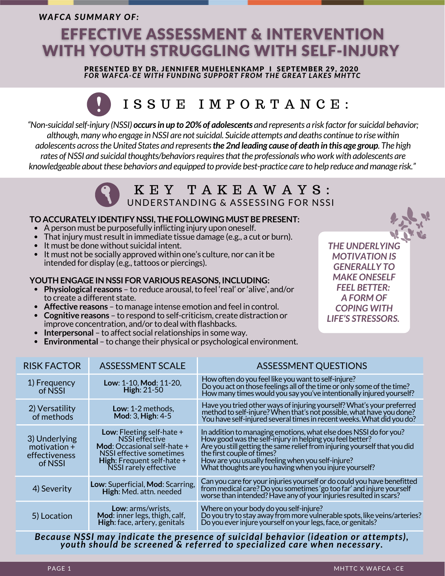*WAFCA SUMMARY OF:*

## **EFFECTIVE ASSESSMENT & INTERVENTION WITH YOUTH STRUGGLING WITH SELF-INJURY**

PRESENTED BY DR. JENNIFER MUEHLENKAMP I SEPTEMBER 29, 2020 *FOR WAFCA-CE WITH FUNDING SUPPORT FROM THE GREAT LAKES MHTTC*

# I S S U E I M P O R T A N C E :

*"Non-suicidalself-injury (NSSI) occursin up to 20% of adolescents and represents a risk factorforsuicidal behavior; although,many who engage inNSSI are notsuicidal. Suicide attempts and deaths continue to rise within* adolescents across the United States and represents the 2nd leading cause of death in this age group. The high *rates ofNSSI and suicidalthoughts/behaviorsrequiresthatthe professionals who work with adolescents are knowledgeable aboutthese behaviors and equipped to provide best-practice care to help reduce andmanage risk."*

## K E Y T A K E A W A Y S : UNDERSTANDING & ASSESSING FOR NSSI

#### **TO ACCURATELY IDENTIFY NSSI, THE FOLLOWING MUST BE PRESENT:**

- Aperson must be purposefully inflicting injury upon oneself.
- That injury must result in immediate tissue damage (e.g., a cut or burn).
- $\bullet$  It must be done without suicidal intent.
- It must not be socially approved within one's culture, nor can it be intended for display (e.g., tattoos or piercings).

#### **YOUTH ENGAGE IN NSSI FOR VARIOUS REASONS, INCLUDING:**

- **Physiological reasons** to reduce arousal,to feel 'real' or 'alive', and/or to create a different state.
- **Affective reasons** to manage intense emotion and feel in control.
- **Cognitive reasons** to respond to self-criticism, create distraction or improve concentration, and/or to deal with flashbacks.
- **Interpersonal** to affect social relationships in some way.
- **Environmental** to change their physical or psychological environment.

| improve concentration, and/or to deal with flashbacks.<br>• Interpersonal - to affect social relationships in some way.<br>• Environmental - to change their physical or psychological environment. |                                                                                                                                                                               |                                                                                                                                                                                                                                                                                                                                                         |
|-----------------------------------------------------------------------------------------------------------------------------------------------------------------------------------------------------|-------------------------------------------------------------------------------------------------------------------------------------------------------------------------------|---------------------------------------------------------------------------------------------------------------------------------------------------------------------------------------------------------------------------------------------------------------------------------------------------------------------------------------------------------|
| <b>RISK FACTOR</b>                                                                                                                                                                                  | <b>ASSESSMENT SCALE</b>                                                                                                                                                       | <b>ASSESSMENT QUESTIONS</b>                                                                                                                                                                                                                                                                                                                             |
| 1) Frequency<br>of NSSI                                                                                                                                                                             | Low: 1-10, Mod: 11-20,<br>High: 21-50                                                                                                                                         | How often do you feel like you want to self-injure?<br>Do you act on those feelings all of the time or only some of the time?<br>How many times would you say you've intentionally injured yourself?                                                                                                                                                    |
| 2) Versatility<br>of methods                                                                                                                                                                        | Low: 1-2 methods,<br>Mod: 3, High: 4-5                                                                                                                                        | Have you tried other ways of injuring yourself? What's your preferred<br>method to self-injure? When that's not possible, what have you done?<br>You have self-injured several times in recent weeks. What did you do?                                                                                                                                  |
| 3) Underlying<br>motivation $+$<br>effectiveness<br>of NSSI                                                                                                                                         | Low: Fleeting self-hate $+$<br><b>NSSI</b> effective<br>Mod: Occasional self-hate +<br>NSSI effective sometimes<br><b>High:</b> Frequent self-hate +<br>NSSI rarely effective | In addition to managing emotions, what else does NSSI do for you?<br>How good was the self-injury in helping you feel better?<br>Are you still getting the same relief from injuring yourself that you did<br>the first couple of times?<br>How are you usually feeling when you self-injure?<br>What thoughts are you having when you injure yourself? |
| 4) Severity                                                                                                                                                                                         | Low: Superficial, Mod: Scarring,<br>High: Med. attn. needed                                                                                                                   | Can you care for your injuries yourself or do could you have benefitted<br>from medical care? Do you sometimes 'go too far' and injure yourself<br>worse than intended? Have any of your injuries resulted in scars?                                                                                                                                    |

5) Location **Low**: arms/wrists, **Mod**: inner legs, thigh, calf, **High**: face, artery, genitals Doyoutry tostay away frommore vulnerable spots, like veins/arteries? Do you ever injure yourself on your legs, face, or genitals?

Where on your body do you self-injure?

*Because NSSI may indicate the presence of suicidal behavior (ideation or attempts), youth should be screened & referred to specialized care when necessary.*

*THE UNDERLYING MOTIVATION IS GENERALLY TO MAKE ONESELF FEEL BETTER: A FORM OF COPING WITH LIFE'S STRESSORS.*